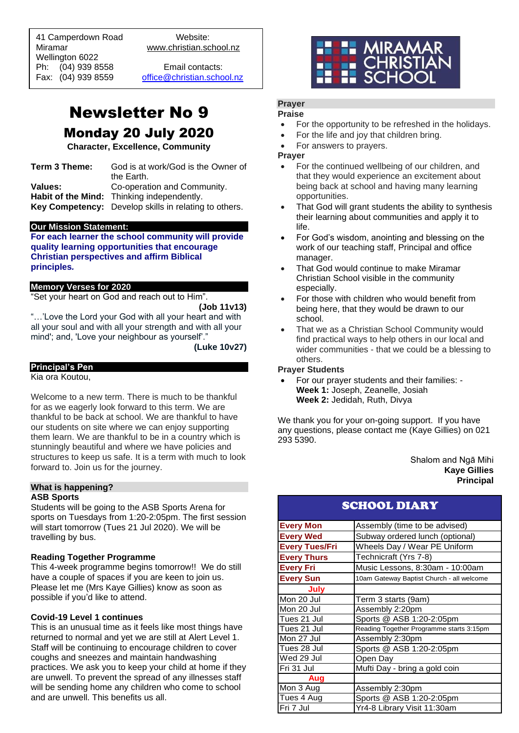41 Camperdown Road Website: Miramar www.christian.school.nz Wellington 6022 Ph: (04) 939 8558 Email contacts:

 $\overline{a}$ 

Fax: (04) 939 8559 [office@christian.school.nz](mailto:office@christian.school.nz)

# Newsletter No 9

## Monday 20 July 2020

**Character, Excellence, Community**

| Term 3 Theme: | God is at work/God is the Owner of                    |  |
|---------------|-------------------------------------------------------|--|
|               | the Earth.                                            |  |
| Values:       | Co-operation and Community.                           |  |
|               | Habit of the Mind: Thinking independently.            |  |
|               | Key Competency: Develop skills in relating to others. |  |

### **Our Mission Statement:**

**For each learner the school community will provide quality learning opportunities that encourage Christian perspectives and affirm Biblical principles***.*

#### **Memory Verses for 2020**

"Set your heart on God and reach out to Him".

**(Job 11v13)**

"…'Love the Lord your God with all your heart and with all your soul and with all your strength and with all your mind'; and, 'Love your neighbour as yourself'."

**(Luke 10v27)**

**Principal's Pen**

Kia ora Koutou,

Welcome to a new term. There is much to be thankful for as we eagerly look forward to this term. We are thankful to be back at school. We are thankful to have our students on site where we can enjoy supporting them learn. We are thankful to be in a country which is stunningly beautiful and where we have policies and structures to keep us safe. It is a term with much to look forward to. Join us for the journey.

#### **What is happening? ASB Sports**

Students will be going to the ASB Sports Arena for sports on Tuesdays from 1:20-2:05pm. The first session will start tomorrow (Tues 21 Jul 2020). We will be travelling by bus.

### **Reading Together Programme**

This 4-week programme begins tomorrow!! We do still have a couple of spaces if you are keen to join us. Please let me (Mrs Kaye Gillies) know as soon as possible if you'd like to attend.

### **Covid-19 Level 1 continues**

This is an unusual time as it feels like most things have returned to normal and yet we are still at Alert Level 1. Staff will be continuing to encourage children to cover coughs and sneezes and maintain handwashing practices. We ask you to keep your child at home if they are unwell. To prevent the spread of any illnesses staff will be sending home any children who come to school and are unwell. This benefits us all.



#### **Prayer Praise**

- For the opportunity to be refreshed in the holidays.
- For the life and joy that children bring.
- For answers to prayers.

**Prayer**

- For the continued wellbeing of our children, and that they would experience an excitement about being back at school and having many learning opportunities.
- That God will grant students the ability to synthesis their learning about communities and apply it to life.
- For God's wisdom, anointing and blessing on the work of our teaching staff, Principal and office manager.
- That God would continue to make Miramar Christian School visible in the community especially.
- For those with children who would benefit from being here, that they would be drawn to our school.
- That we as a Christian School Community would find practical ways to help others in our local and wider communities - that we could be a blessing to others.

#### **Prayer Students**

• For our prayer students and their families: - **Week 1:** Joseph, Zeanelle, Josiah **Week 2:** Jedidah, Ruth, Divya

We thank you for your on-going support. If you have any questions, please contact me (Kaye Gillies) on 021 293 5390.

> Shalom and Ngā Mihi **Kaye Gillies Principal**

| <b>SCHOOL DIARY</b>   |                                           |  |  |
|-----------------------|-------------------------------------------|--|--|
| <b>Every Mon</b>      | Assembly (time to be advised)             |  |  |
| <b>Every Wed</b>      | Subway ordered lunch (optional)           |  |  |
| <b>Every Tues/Fri</b> | Wheels Day / Wear PE Uniform              |  |  |
| <b>Every Thurs</b>    | Technicraft (Yrs 7-8)                     |  |  |
| <b>Every Fri</b>      | Music Lessons, 8:30am - 10:00am           |  |  |
| <b>Every Sun</b>      | 10am Gateway Baptist Church - all welcome |  |  |
| July                  |                                           |  |  |
| Mon 20 Jul            | Term 3 starts (9am)                       |  |  |
| Mon 20 Jul            | Assembly 2:20pm                           |  |  |
| Tues 21 Jul           | Sports @ ASB 1:20-2:05pm                  |  |  |
| Tues 21 Jul           | Reading Together Programme starts 3:15pm  |  |  |
| Mon 27 Jul            | Assembly 2:30pm                           |  |  |
| Tues 28 Jul           | Sports @ ASB 1:20-2:05pm                  |  |  |
| Wed 29 Jul            | Open Day                                  |  |  |
| Fri 31 Jul            | Mufti Day - bring a gold coin             |  |  |
| Aug                   |                                           |  |  |
| Mon 3 Aug             | Assembly 2:30pm                           |  |  |
| Tues 4 Aug            | Sports @ ASB 1:20-2:05pm                  |  |  |
| Fri 7 Jul             | Yr4-8 Library Visit 11:30am               |  |  |